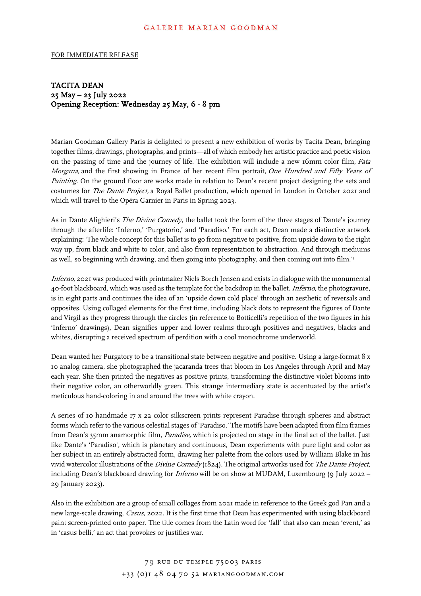## GALERIE MARIAN GOODMAN

## FOR IMMEDIATE RELEASE

## TACITA DEAN 25 May – 23 July 2022 Opening Reception: Wednesday 25 May, 6 - 8 pm

Marian Goodman Gallery Paris is delighted to present a new exhibition of works by Tacita Dean, bringing together films, drawings, photographs, and prints—all of which embody her artistic practice and poetic vision on the passing of time and the journey of life. The exhibition will include a new 16mm color film, Fata Morgana, and the first showing in France of her recent film portrait, One Hundred and Fifty Years of Painting. On the ground floor are works made in relation to Dean's recent project designing the sets and costumes for *The Dante Project*, a Royal Ballet production, which opened in London in October 2021 and which will travel to the Opéra Garnier in Paris in Spring 2023.

As in Dante Alighieri's *The Divine Comedy*, the ballet took the form of the three stages of Dante's journey through the afterlife: 'Inferno,' 'Purgatorio,' and 'Paradiso.' For each act, Dean made a distinctive artwork explaining: 'The whole concept for this ballet is to go from negative to positive, from upside down to the right way up, from black and white to color, and also from representation to abstraction. And through mediums as well, so beginning with drawing, and then going into photography, and then coming out into film.'1

Inferno, 2021 was produced with printmaker Niels Borch Jensen and exists in dialogue with the monumental 40-foot blackboard, which was used as the template for the backdrop in the ballet. *Inferno*, the photogravure, is in eight parts and continues the idea of an 'upside down cold place' through an aesthetic of reversals and opposites. Using collaged elements for the first time, including black dots to represent the figures of Dante and Virgil as they progress through the circles (in reference to Botticelli's repetition of the two figures in his 'Inferno' drawings), Dean signifies upper and lower realms through positives and negatives, blacks and whites, disrupting a received spectrum of perdition with a cool monochrome underworld.

Dean wanted her Purgatory to be a transitional state between negative and positive. Using a large-format 8 x 10 analog camera, she photographed the jacaranda trees that bloom in Los Angeles through April and May each year. She then printed the negatives as positive prints, transforming the distinctive violet blooms into their negative color, an otherworldly green. This strange intermediary state is accentuated by the artist's meticulous hand-coloring in and around the trees with white crayon.

A series of 10 handmade 17 x 22 color silkscreen prints represent Paradise through spheres and abstract forms which refer to the various celestial stages of 'Paradiso.' The motifs have been adapted from film frames from Dean's 35mm anamorphic film, Paradise, which is projected on stage in the final act of the ballet. Just like Dante's 'Paradiso', which is planetary and continuous, Dean experiments with pure light and color as her subject in an entirely abstracted form, drawing her palette from the colors used by William Blake in his vivid watercolor illustrations of the Divine Comedy (1824). The original artworks used for The Dante Project, including Dean's blackboard drawing for *Inferno* will be on show at MUDAM, Luxembourg (9 July 2022 – 29 January 2023).

Also in the exhibition are a group of small collages from 2021 made in reference to the Greek god Pan and a new large-scale drawing, Casus, 2022. It is the first time that Dean has experimented with using blackboard paint screen-printed onto paper. The title comes from the Latin word for 'fall' that also can mean 'event,' as in 'casus belli,' an act that provokes or justifies war.

> 79 RUE DU TEMPLE 75003 PARIS  $+33$  (0) I 48 04 70 52 MARIANGOODMAN.COM